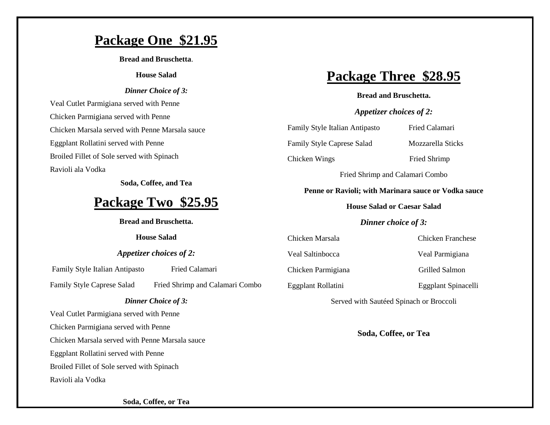### **Package One \$21.95**

**Bread and Bruschetta**.

#### **House Salad**

#### *Dinner Choice of 3:*

Veal Cutlet Parmigiana served with Penne Chicken Parmigiana served with Penne Chicken Marsala served with Penne Marsala sauce Eggplant Rollatini served with Penne Broiled Fillet of Sole served with Spinach Ravioli ala Vodka

**Soda, Coffee, and Tea**

## **Package Two \$25.95**

**Bread and Bruschetta.**

### **House Salad**

### *Appetizer choices of 2:*

Family Style Italian Antipasto Fried Calamari

Family Style Caprese Salad Fried Shrimp and Calamari Combo

#### *Dinner Choice of 3:*

Veal Cutlet Parmigiana served with Penne Chicken Parmigiana served with Penne

Chicken Marsala served with Penne Marsala sauce

Eggplant Rollatini served with Penne

Broiled Fillet of Sole served with Spinach

Ravioli ala Vodka

# **Package Three \$28.95**

### **Bread and Bruschetta.**

### *Appetizer choices of 2:*

Family Style Italian Antipasto Fried Calamari

Family Style Caprese Salad Mozzarella Sticks

Chicken Wings Fried Shrimp

Fried Shrimp and Calamari Combo

### **Penne or Ravioli; with Marinara sauce or Vodka sauce**

**House Salad or Caesar Salad**

### *Dinner choice of 3:*

Chicken Marsala Chicken Franchese

Veal Saltinbocca Veal Parmigiana

Chicken Parmigiana Grilled Salmon

Eggplant Rollatini Eggplant Spinacelli

Served with Sautéed Spinach or Broccoli

**Soda, Coffee, or Tea**

**Soda, Coffee, or Tea**